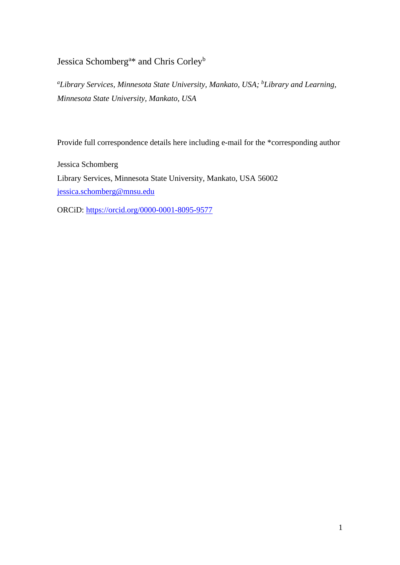Jessica Schomberg<sup>a\*</sup> and Chris Corley<sup>b</sup>

*<sup>a</sup>Library Services, Minnesota State University, Mankato, USA; <sup>b</sup>Library and Learning, Minnesota State University, Mankato, USA*

Provide full correspondence details here including e-mail for the \*corresponding author

Jessica Schomberg Library Services, Minnesota State University, Mankato, USA 56002 [jessica.schomberg@mnsu.edu](mailto:jessica.schomberg@mnsu.edu)

ORCiD:<https://orcid.org/0000-0001-8095-9577>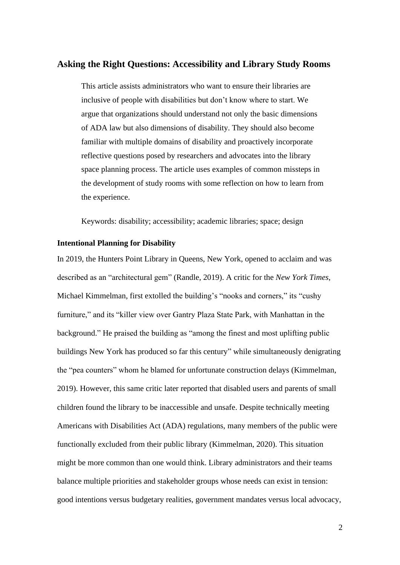## **Asking the Right Questions: Accessibility and Library Study Rooms**

This article assists administrators who want to ensure their libraries are inclusive of people with disabilities but don't know where to start. We argue that organizations should understand not only the basic dimensions of ADA law but also dimensions of disability. They should also become familiar with multiple domains of disability and proactively incorporate reflective questions posed by researchers and advocates into the library space planning process. The article uses examples of common missteps in the development of study rooms with some reflection on how to learn from the experience.

Keywords: disability; accessibility; academic libraries; space; design

#### **Intentional Planning for Disability**

In 2019, the Hunters Point Library in Queens, New York, opened to acclaim and was described as an "architectural gem" (Randle, 2019). A critic for the *New York Times*, Michael Kimmelman, first extolled the building's "nooks and corners," its "cushy furniture," and its "killer view over Gantry Plaza State Park, with Manhattan in the background." He praised the building as "among the finest and most uplifting public buildings New York has produced so far this century" while simultaneously denigrating the "pea counters" whom he blamed for unfortunate construction delays (Kimmelman, 2019). However, this same critic later reported that disabled users and parents of small children found the library to be inaccessible and unsafe. Despite technically meeting Americans with Disabilities Act (ADA) regulations, many members of the public were functionally excluded from their public library (Kimmelman, 2020). This situation might be more common than one would think. Library administrators and their teams balance multiple priorities and stakeholder groups whose needs can exist in tension: good intentions versus budgetary realities, government mandates versus local advocacy,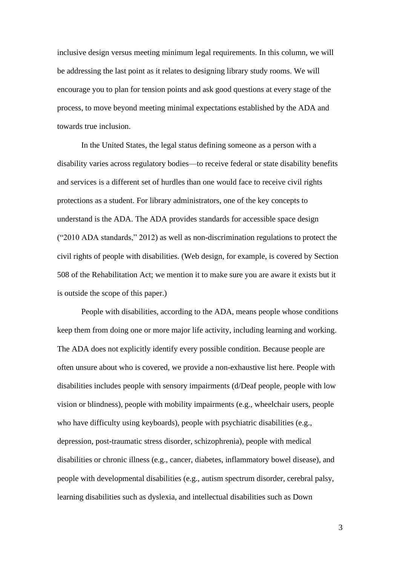inclusive design versus meeting minimum legal requirements. In this column, we will be addressing the last point as it relates to designing library study rooms. We will encourage you to plan for tension points and ask good questions at every stage of the process, to move beyond meeting minimal expectations established by the ADA and towards true inclusion.

In the United States, the legal status defining someone as a person with a disability varies across regulatory bodies—to receive federal or state disability benefits and services is a different set of hurdles than one would face to receive civil rights protections as a student. For library administrators, one of the key concepts to understand is the ADA. The ADA provides standards for accessible space design ("2010 ADA standards," 2012) as well as non-discrimination regulations to protect the civil rights of people with disabilities. (Web design, for example, is covered by Section 508 of the Rehabilitation Act; we mention it to make sure you are aware it exists but it is outside the scope of this paper.)

People with disabilities, according to the ADA, means people whose conditions keep them from doing one or more major life activity, including learning and working. The ADA does not explicitly identify every possible condition. Because people are often unsure about who is covered, we provide a non-exhaustive list here. People with disabilities includes people with sensory impairments (d/Deaf people, people with low vision or blindness), people with mobility impairments (e.g., wheelchair users, people who have difficulty using keyboards), people with psychiatric disabilities (e.g., depression, post-traumatic stress disorder, schizophrenia), people with medical disabilities or chronic illness (e.g., cancer, diabetes, inflammatory bowel disease), and people with developmental disabilities (e.g., autism spectrum disorder, cerebral palsy, learning disabilities such as dyslexia, and intellectual disabilities such as Down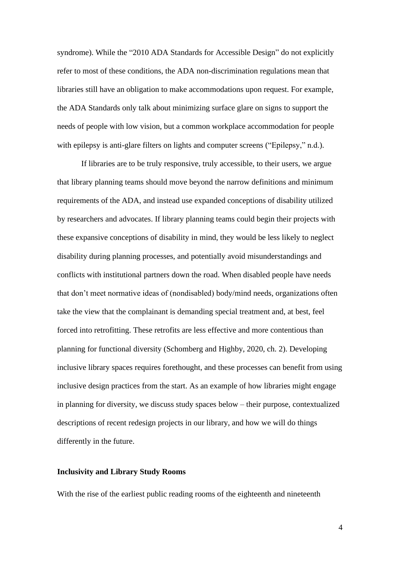syndrome). While the "2010 ADA Standards for Accessible Design" do not explicitly refer to most of these conditions, the ADA non-discrimination regulations mean that libraries still have an obligation to make accommodations upon request. For example, the ADA Standards only talk about minimizing surface glare on signs to support the needs of people with low vision, but a common workplace accommodation for people with epilepsy is anti-glare filters on lights and computer screens ("Epilepsy," n.d.).

If libraries are to be truly responsive, truly accessible, to their users, we argue that library planning teams should move beyond the narrow definitions and minimum requirements of the ADA, and instead use expanded conceptions of disability utilized by researchers and advocates. If library planning teams could begin their projects with these expansive conceptions of disability in mind, they would be less likely to neglect disability during planning processes, and potentially avoid misunderstandings and conflicts with institutional partners down the road. When disabled people have needs that don't meet normative ideas of (nondisabled) body/mind needs, organizations often take the view that the complainant is demanding special treatment and, at best, feel forced into retrofitting. These retrofits are less effective and more contentious than planning for functional diversity (Schomberg and Highby, 2020, ch. 2). Developing inclusive library spaces requires forethought, and these processes can benefit from using inclusive design practices from the start. As an example of how libraries might engage in planning for diversity, we discuss study spaces below – their purpose, contextualized descriptions of recent redesign projects in our library, and how we will do things differently in the future.

### **Inclusivity and Library Study Rooms**

With the rise of the earliest public reading rooms of the eighteenth and nineteenth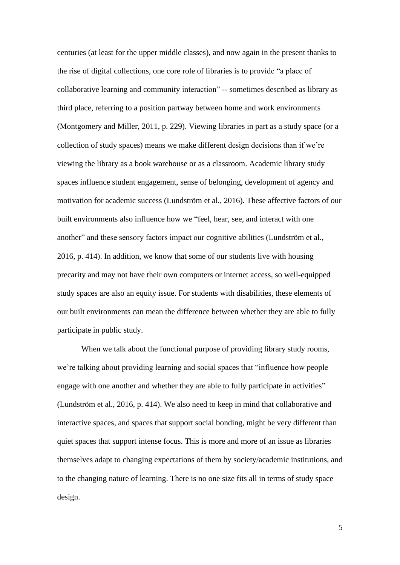centuries (at least for the upper middle classes), and now again in the present thanks to the rise of digital collections, one core role of libraries is to provide "a place of collaborative learning and community interaction" -- sometimes described as library as third place, referring to a position partway between home and work environments (Montgomery and Miller, 2011, p. 229). Viewing libraries in part as a study space (or a collection of study spaces) means we make different design decisions than if we're viewing the library as a book warehouse or as a classroom. Academic library study spaces influence student engagement, sense of belonging, development of agency and motivation for academic success (Lundström et al., 2016). These affective factors of our built environments also influence how we "feel, hear, see, and interact with one another" and these sensory factors impact our cognitive abilities (Lundström et al., 2016, p. 414). In addition, we know that some of our students live with housing precarity and may not have their own computers or internet access, so well-equipped study spaces are also an equity issue. For students with disabilities, these elements of our built environments can mean the difference between whether they are able to fully participate in public study.

When we talk about the functional purpose of providing library study rooms, we're talking about providing learning and social spaces that "influence how people engage with one another and whether they are able to fully participate in activities" (Lundström et al., 2016, p. 414). We also need to keep in mind that collaborative and interactive spaces, and spaces that support social bonding, might be very different than quiet spaces that support intense focus. This is more and more of an issue as libraries themselves adapt to changing expectations of them by society/academic institutions, and to the changing nature of learning. There is no one size fits all in terms of study space design.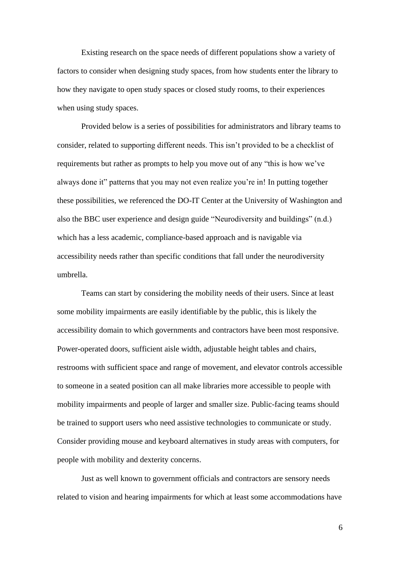Existing research on the space needs of different populations show a variety of factors to consider when designing study spaces, from how students enter the library to how they navigate to open study spaces or closed study rooms, to their experiences when using study spaces.

Provided below is a series of possibilities for administrators and library teams to consider, related to supporting different needs. This isn't provided to be a checklist of requirements but rather as prompts to help you move out of any "this is how we've always done it" patterns that you may not even realize you're in! In putting together these possibilities, we referenced the DO-IT Center at the University of Washington and also the BBC user experience and design guide "Neurodiversity and buildings" (n.d.) which has a less academic, compliance-based approach and is navigable via accessibility needs rather than specific conditions that fall under the neurodiversity umbrella.

Teams can start by considering the mobility needs of their users. Since at least some mobility impairments are easily identifiable by the public, this is likely the accessibility domain to which governments and contractors have been most responsive. Power-operated doors, sufficient aisle width, adjustable height tables and chairs, restrooms with sufficient space and range of movement, and elevator controls accessible to someone in a seated position can all make libraries more accessible to people with mobility impairments and people of larger and smaller size. Public-facing teams should be trained to support users who need assistive technologies to communicate or study. Consider providing mouse and keyboard alternatives in study areas with computers, for people with mobility and dexterity concerns.

Just as well known to government officials and contractors are sensory needs related to vision and hearing impairments for which at least some accommodations have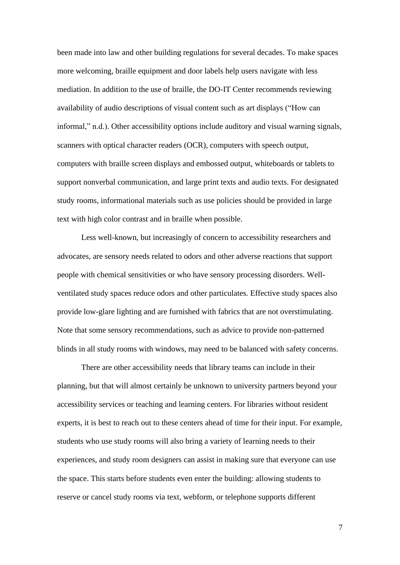been made into law and other building regulations for several decades. To make spaces more welcoming, braille equipment and door labels help users navigate with less mediation. In addition to the use of braille, the DO-IT Center recommends reviewing availability of audio descriptions of visual content such as art displays ("How can informal," n.d.). Other accessibility options include auditory and visual warning signals, scanners with optical character readers (OCR), computers with speech output, computers with braille screen displays and embossed output, whiteboards or tablets to support nonverbal communication, and large print texts and audio texts. For designated study rooms, informational materials such as use policies should be provided in large text with high color contrast and in braille when possible.

Less well-known, but increasingly of concern to accessibility researchers and advocates, are sensory needs related to odors and other adverse reactions that support people with chemical sensitivities or who have sensory processing disorders. Wellventilated study spaces reduce odors and other particulates. Effective study spaces also provide low-glare lighting and are furnished with fabrics that are not overstimulating. Note that some sensory recommendations, such as advice to provide non-patterned blinds in all study rooms with windows, may need to be balanced with safety concerns.

There are other accessibility needs that library teams can include in their planning, but that will almost certainly be unknown to university partners beyond your accessibility services or teaching and learning centers. For libraries without resident experts, it is best to reach out to these centers ahead of time for their input. For example, students who use study rooms will also bring a variety of learning needs to their experiences, and study room designers can assist in making sure that everyone can use the space. This starts before students even enter the building: allowing students to reserve or cancel study rooms via text, webform, or telephone supports different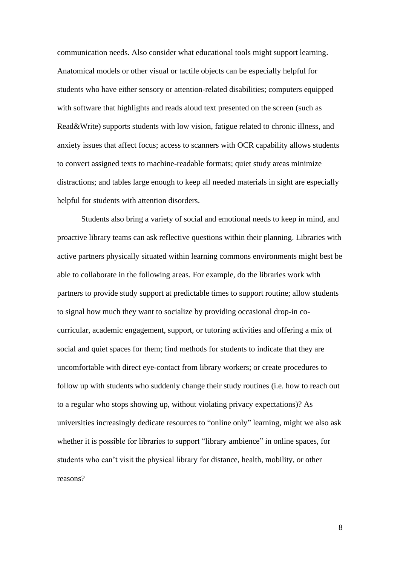communication needs. Also consider what educational tools might support learning. Anatomical models or other visual or tactile objects can be especially helpful for students who have either sensory or attention-related disabilities; computers equipped with software that highlights and reads aloud text presented on the screen (such as Read&Write) supports students with low vision, fatigue related to chronic illness, and anxiety issues that affect focus; access to scanners with OCR capability allows students to convert assigned texts to machine-readable formats; quiet study areas minimize distractions; and tables large enough to keep all needed materials in sight are especially helpful for students with attention disorders.

Students also bring a variety of social and emotional needs to keep in mind, and proactive library teams can ask reflective questions within their planning. Libraries with active partners physically situated within learning commons environments might best be able to collaborate in the following areas. For example, do the libraries work with partners to provide study support at predictable times to support routine; allow students to signal how much they want to socialize by providing occasional drop-in cocurricular, academic engagement, support, or tutoring activities and offering a mix of social and quiet spaces for them; find methods for students to indicate that they are uncomfortable with direct eye-contact from library workers; or create procedures to follow up with students who suddenly change their study routines (i.e. how to reach out to a regular who stops showing up, without violating privacy expectations)? As universities increasingly dedicate resources to "online only" learning, might we also ask whether it is possible for libraries to support "library ambience" in online spaces, for students who can't visit the physical library for distance, health, mobility, or other reasons?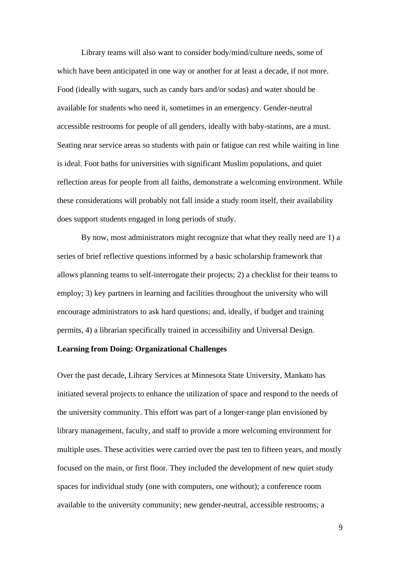Library teams will also want to consider body/mind/culture needs, some of which have been anticipated in one way or another for at least a decade, if not more. Food (ideally with sugars, such as candy bars and/or sodas) and water should be available for students who need it, sometimes in an emergency. Gender-neutral accessible restrooms for people of all genders, ideally with baby-stations, are a must. Seating near service areas so students with pain or fatigue can rest while waiting in line is ideal. Foot baths for universities with significant Muslim populations, and quiet reflection areas for people from all faiths, demonstrate a welcoming environment. While these considerations will probably not fall inside a study room itself, their availability does support students engaged in long periods of study.

By now, most administrators might recognize that what they really need are 1) a series of brief reflective questions informed by a basic scholarship framework that allows planning teams to self-interrogate their projects; 2) a checklist for their teams to employ; 3) key partners in learning and facilities throughout the university who will encourage administrators to ask hard questions; and, ideally, if budget and training permits, 4) a librarian specifically trained in accessibility and Universal Design.

# **Learning from Doing: Organizational Challenges**

Over the past decade, Library Services at Minnesota State University, Mankato has initiated several projects to enhance the utilization of space and respond to the needs of the university community. This effort was part of a longer-range plan envisioned by library management, faculty, and staff to provide a more welcoming environment for multiple uses. These activities were carried over the past ten to fifteen years, and mostly focused on the main, or first floor. They included the development of new quiet study spaces for individual study (one with computers, one without); a conference room available to the university community; new gender-neutral, accessible restrooms; a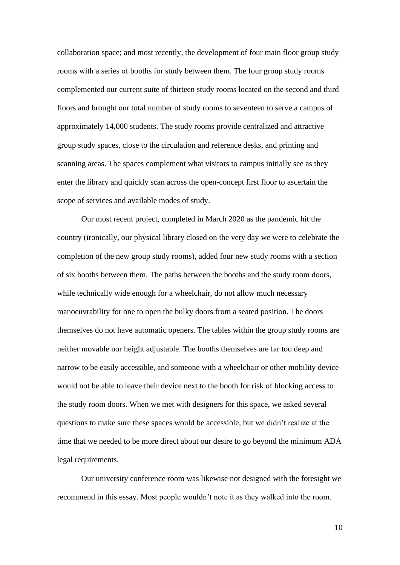collaboration space; and most recently, the development of four main floor group study rooms with a series of booths for study between them. The four group study rooms complemented our current suite of thirteen study rooms located on the second and third floors and brought our total number of study rooms to seventeen to serve a campus of approximately 14,000 students. The study rooms provide centralized and attractive group study spaces, close to the circulation and reference desks, and printing and scanning areas. The spaces complement what visitors to campus initially see as they enter the library and quickly scan across the open-concept first floor to ascertain the scope of services and available modes of study.

Our most recent project, completed in March 2020 as the pandemic hit the country (ironically, our physical library closed on the very day we were to celebrate the completion of the new group study rooms), added four new study rooms with a section of six booths between them. The paths between the booths and the study room doors, while technically wide enough for a wheelchair, do not allow much necessary manoeuvrability for one to open the bulky doors from a seated position. The doors themselves do not have automatic openers. The tables within the group study rooms are neither movable nor height adjustable. The booths themselves are far too deep and narrow to be easily accessible, and someone with a wheelchair or other mobility device would not be able to leave their device next to the booth for risk of blocking access to the study room doors. When we met with designers for this space, we asked several questions to make sure these spaces would be accessible, but we didn't realize at the time that we needed to be more direct about our desire to go beyond the minimum ADA legal requirements.

Our university conference room was likewise not designed with the foresight we recommend in this essay. Most people wouldn't note it as they walked into the room.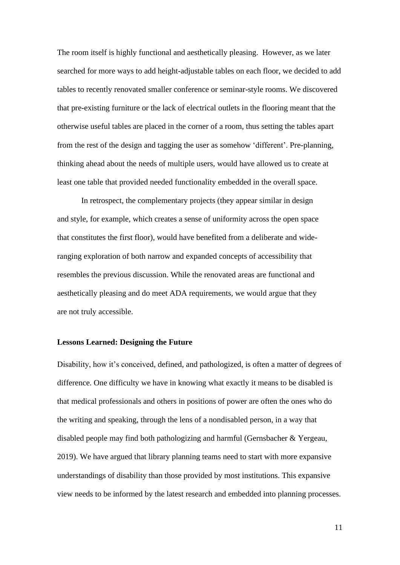The room itself is highly functional and aesthetically pleasing. However, as we later searched for more ways to add height-adjustable tables on each floor, we decided to add tables to recently renovated smaller conference or seminar-style rooms. We discovered that pre-existing furniture or the lack of electrical outlets in the flooring meant that the otherwise useful tables are placed in the corner of a room, thus setting the tables apart from the rest of the design and tagging the user as somehow 'different'. Pre-planning, thinking ahead about the needs of multiple users, would have allowed us to create at least one table that provided needed functionality embedded in the overall space.

In retrospect, the complementary projects (they appear similar in design and style, for example, which creates a sense of uniformity across the open space that constitutes the first floor), would have benefited from a deliberate and wideranging exploration of both narrow and expanded concepts of accessibility that resembles the previous discussion. While the renovated areas are functional and aesthetically pleasing and do meet ADA requirements, we would argue that they are not truly accessible.

#### **Lessons Learned: Designing the Future**

Disability, how it's conceived, defined, and pathologized, is often a matter of degrees of difference. One difficulty we have in knowing what exactly it means to be disabled is that medical professionals and others in positions of power are often the ones who do the writing and speaking, through the lens of a nondisabled person, in a way that disabled people may find both pathologizing and harmful (Gernsbacher & Yergeau, 2019). We have argued that library planning teams need to start with more expansive understandings of disability than those provided by most institutions. This expansive view needs to be informed by the latest research and embedded into planning processes.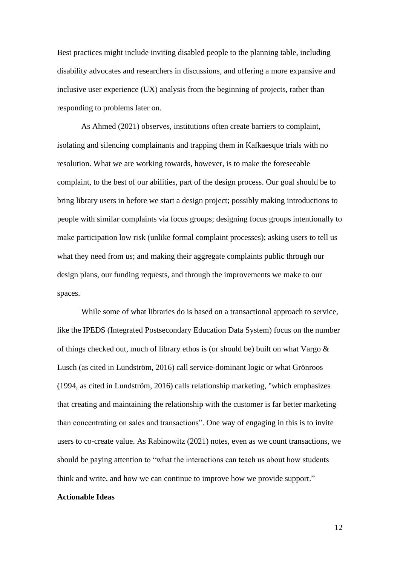Best practices might include inviting disabled people to the planning table, including disability advocates and researchers in discussions, and offering a more expansive and inclusive user experience (UX) analysis from the beginning of projects, rather than responding to problems later on.

As Ahmed (2021) observes, institutions often create barriers to complaint, isolating and silencing complainants and trapping them in Kafkaesque trials with no resolution. What we are working towards, however, is to make the foreseeable complaint, to the best of our abilities, part of the design process. Our goal should be to bring library users in before we start a design project; possibly making introductions to people with similar complaints via focus groups; designing focus groups intentionally to make participation low risk (unlike formal complaint processes); asking users to tell us what they need from us; and making their aggregate complaints public through our design plans, our funding requests, and through the improvements we make to our spaces.

While some of what libraries do is based on a transactional approach to service, like the IPEDS (Integrated Postsecondary Education Data System) focus on the number of things checked out, much of library ethos is (or should be) built on what Vargo & Lusch (as cited in Lundström, 2016) call service-dominant logic or what Grönroos (1994, as cited in Lundström, 2016) calls relationship marketing, "which emphasizes that creating and maintaining the relationship with the customer is far better marketing than concentrating on sales and transactions". One way of engaging in this is to invite users to co-create value. As Rabinowitz (2021) notes, even as we count transactions, we should be paying attention to "what the interactions can teach us about how students think and write, and how we can continue to improve how we provide support."

# **Actionable Ideas**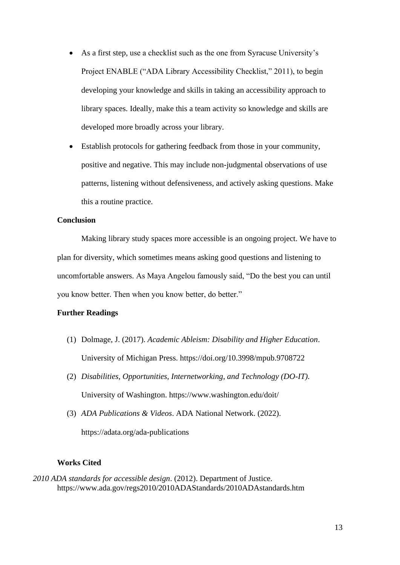- As a first step, use a checklist such as the one from Syracuse University's Project ENABLE ("ADA Library Accessibility Checklist," 2011), to begin developing your knowledge and skills in taking an accessibility approach to library spaces. Ideally, make this a team activity so knowledge and skills are developed more broadly across your library.
- Establish protocols for gathering feedback from those in your community, positive and negative. This may include non-judgmental observations of use patterns, listening without defensiveness, and actively asking questions. Make this a routine practice.

### **Conclusion**

Making library study spaces more accessible is an ongoing project. We have to plan for diversity, which sometimes means asking good questions and listening to uncomfortable answers. As Maya Angelou famously said, "Do the best you can until you know better. Then when you know better, do better."

## **Further Readings**

- (1) Dolmage, J. (2017). *Academic Ableism: Disability and Higher Education*. University of Michigan Press. https://doi.org/10.3998/mpub.9708722
- (2) *Disabilities, Opportunities, Internetworking, and Technology (DO-IT).* University of Washington. https://www.washington.edu/doit/
- (3) *ADA Publications & Videos*. ADA National Network. (2022). https://adata.org/ada-publications

## **Works Cited**

*2010 ADA standards for accessible design*. (2012). Department of Justice. https://www.ada.gov/regs2010/2010ADAStandards/2010ADAstandards.htm